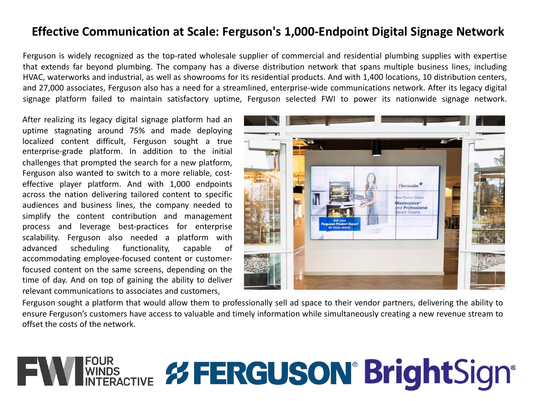## **Effective Communication at Scale: Ferguson's 1,000-Endpoint Digital Signage Network**

Ferguson is widely recognized as the top-rated wholesale supplier of commercial and residential plumbing supplies with expertise that extends far beyond plumbing. The company has a diverse distribution network that spans multiple business lines, including HVAC, waterworks and industrial, as well as showrooms for its residential products. And with 1,400 locations, 10 distribution centers, and 27,000 associates, Ferguson also has a need for a streamlined, enterprise-wide communications network. After its legacy digital signage platform failed to maintain satisfactory uptime, Ferguson selected FWI to power its nationwide signage network.

After realizing its legacy digital signage platform had an uptime stagnating around 75% and made deploying localized content difficult, Ferguson sought a true enterprise-grade platform. In addition to the initial challenges that prompted the search for a new platform, Ferguson also wanted to switch to a more reliable, costeffective player platform. And with 1,000 endpoints across the nation delivering tailored content to specific audiences and business lines, the company needed to simplify the content contribution and management process and leverage best-practices for enterprise scalability. Ferguson also needed a platform with advanced scheduling functionality, capable of accommodating employee-focused content or customerfocused content on the same screens, depending on the time of day. And on top of gaining the ability to deliver relevant communications to associates and customers,



Ferguson sought a platform that would allow them to professionally sell ad space to their vendor partners, delivering the ability to ensure Ferguson's customers have access to valuable and timely information while simultaneously creating a new revenue stream to offset the costs of the network.

## **FOUR**<br>WINDS **UDS ERGUSON<sup>®</sup> BrightSign®**